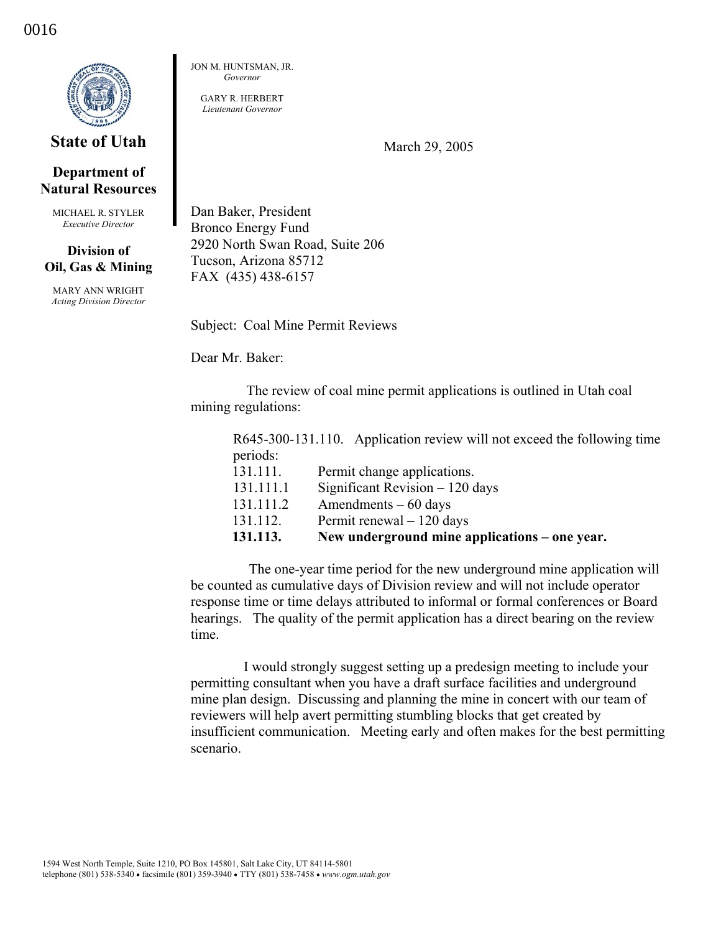

## **State of Utah**

## **Department of Natural Resources**

MICHAEL R. STYLER *Executive Director* 

## **Division of Oil, Gas & Mining**

MARY ANN WRIGHT *Acting Division Director*  JON M. HUNTSMAN, JR. *Governor* 

GARY R. HERBERT *Lieutenant Governor* 

March 29, 2005

Dan Baker, President Bronco Energy Fund 2920 North Swan Road, Suite 206 Tucson, Arizona 85712 FAX (435) 438-6157

Subject: Coal Mine Permit Reviews

Dear Mr. Baker:

 The review of coal mine permit applications is outlined in Utah coal mining regulations:

R645-300-131.110. Application review will not exceed the following time periods: 131.111. Permit change applications. 131.111.1 Significant Revision – 120 days 131.111.2 Amendments – 60 days

131.112. Permit renewal – 120 days **131.113. New underground mine applications – one year.** 

 The one-year time period for the new underground mine application will be counted as cumulative days of Division review and will not include operator response time or time delays attributed to informal or formal conferences or Board hearings. The quality of the permit application has a direct bearing on the review time.

 I would strongly suggest setting up a predesign meeting to include your permitting consultant when you have a draft surface facilities and underground mine plan design. Discussing and planning the mine in concert with our team of reviewers will help avert permitting stumbling blocks that get created by insufficient communication. Meeting early and often makes for the best permitting scenario.